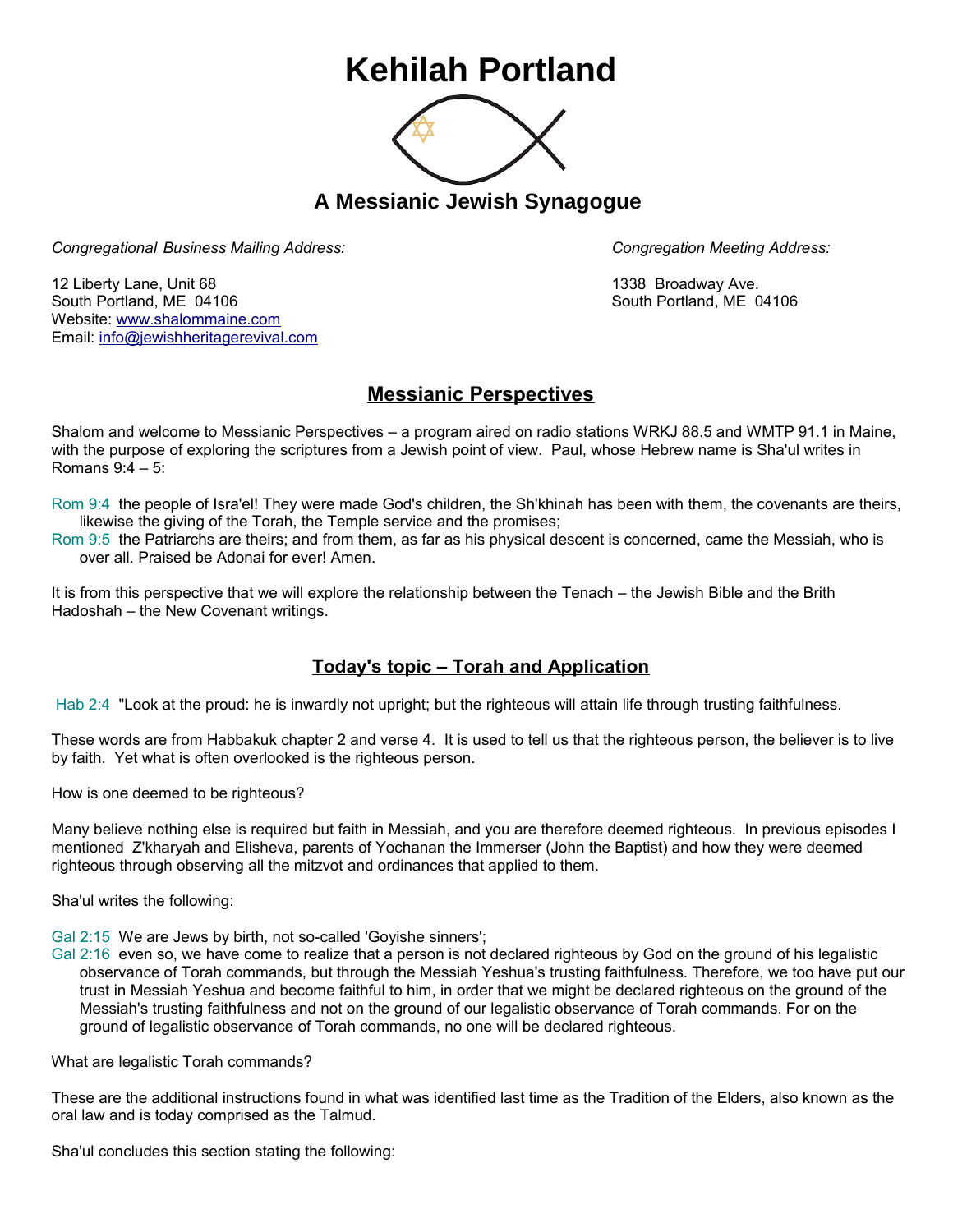## **Kehilah Portland**



**A Messianic Jewish Synagogue** 

*Congregational Business Mailing Address: Congregation Meeting Address:*

12 Liberty Lane, Unit 68 1338 Broadway Ave. South Portland, ME 04106 South Portland, ME 04106 Website: [www.shalommaine.com](http://www.shalommaine.com/) Email: [info@jewishheritagerevival.com](mailto:info@jewishheritagerevival.com) 

## **Messianic Perspectives**

Shalom and welcome to Messianic Perspectives – a program aired on radio stations WRKJ 88.5 and WMTP 91.1 in Maine, with the purpose of exploring the scriptures from a Jewish point of view. Paul, whose Hebrew name is Sha'ul writes in Romans 9:4 – 5:

Rom 9:4 the people of Isra'el! They were made God's children, the Sh'khinah has been with them, the covenants are theirs, likewise the giving of the Torah, the Temple service and the promises;

Rom 9:5 the Patriarchs are theirs; and from them, as far as his physical descent is concerned, came the Messiah, who is over all. Praised be Adonai for ever! Amen.

It is from this perspective that we will explore the relationship between the Tenach – the Jewish Bible and the Brith Hadoshah – the New Covenant writings.

## **Today's topic – Torah and Application**

Hab 2:4 "Look at the proud: he is inwardly not upright; but the righteous will attain life through trusting faithfulness.

These words are from Habbakuk chapter 2 and verse 4. It is used to tell us that the righteous person, the believer is to live by faith. Yet what is often overlooked is the righteous person.

How is one deemed to be righteous?

Many believe nothing else is required but faith in Messiah, and you are therefore deemed righteous. In previous episodes I mentioned Z'kharyah and Elisheva, parents of Yochanan the Immerser (John the Baptist) and how they were deemed righteous through observing all the mitzvot and ordinances that applied to them.

Sha'ul writes the following:

Gal 2:15 We are Jews by birth, not so-called 'Goyishe sinners';

Gal 2:16 even so, we have come to realize that a person is not declared righteous by God on the ground of his legalistic observance of Torah commands, but through the Messiah Yeshua's trusting faithfulness. Therefore, we too have put our trust in Messiah Yeshua and become faithful to him, in order that we might be declared righteous on the ground of the Messiah's trusting faithfulness and not on the ground of our legalistic observance of Torah commands. For on the ground of legalistic observance of Torah commands, no one will be declared righteous.

What are legalistic Torah commands?

These are the additional instructions found in what was identified last time as the Tradition of the Elders, also known as the oral law and is today comprised as the Talmud.

Sha'ul concludes this section stating the following: